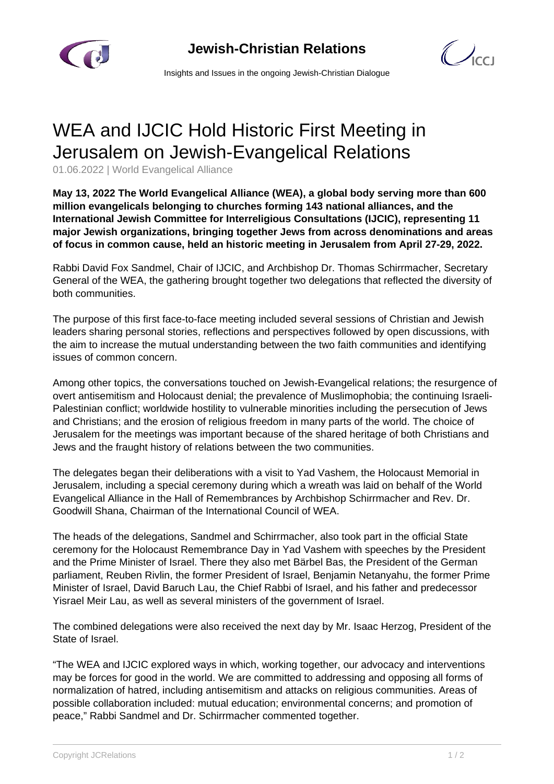



Insights and Issues in the ongoing Jewish-Christian Dialogue

## WEA and IJCIC Hold Historic First Meeting in Jerusalem on Jewish-Evangelical Relations

01.06.2022 | World Evangelical Alliance

**May 13, 2022 The World Evangelical Alliance (WEA), a global body serving more than 600 million evangelicals belonging to churches forming 143 national alliances, and the International Jewish Committee for Interreligious Consultations (IJCIC), representing 11 major Jewish organizations, bringing together Jews from across denominations and areas of focus in common cause, held an historic meeting in Jerusalem from April 27-29, 2022.**

Rabbi David Fox Sandmel, Chair of IJCIC, and Archbishop Dr. Thomas Schirrmacher, Secretary General of the WEA, the gathering brought together two delegations that reflected the diversity of both communities.

The purpose of this first face-to-face meeting included several sessions of Christian and Jewish leaders sharing personal stories, reflections and perspectives followed by open discussions, with the aim to increase the mutual understanding between the two faith communities and identifying issues of common concern.

Among other topics, the conversations touched on Jewish-Evangelical relations; the resurgence of overt antisemitism and Holocaust denial; the prevalence of Muslimophobia; the continuing Israeli-Palestinian conflict; worldwide hostility to vulnerable minorities including the persecution of Jews and Christians; and the erosion of religious freedom in many parts of the world. The choice of Jerusalem for the meetings was important because of the shared heritage of both Christians and Jews and the fraught history of relations between the two communities.

The delegates began their deliberations with a visit to Yad Vashem, the Holocaust Memorial in Jerusalem, including a special ceremony during which a wreath was laid on behalf of the World Evangelical Alliance in the Hall of Remembrances by Archbishop Schirrmacher and Rev. Dr. Goodwill Shana, Chairman of the International Council of WEA.

The heads of the delegations, Sandmel and Schirrmacher, also took part in the official State ceremony for the Holocaust Remembrance Day in Yad Vashem with speeches by the President and the Prime Minister of Israel. There they also met Bärbel Bas, the President of the German parliament, Reuben Rivlin, the former President of Israel, Benjamin Netanyahu, the former Prime Minister of Israel, David Baruch Lau, the Chief Rabbi of Israel, and his father and predecessor Yisrael Meir Lau, as well as several ministers of the government of Israel.

The combined delegations were also received the next day by Mr. Isaac Herzog, President of the State of Israel.

"The WEA and IJCIC explored ways in which, working together, our advocacy and interventions may be forces for good in the world. We are committed to addressing and opposing all forms of normalization of hatred, including antisemitism and attacks on religious communities. Areas of possible collaboration included: mutual education; environmental concerns; and promotion of peace," Rabbi Sandmel and Dr. Schirrmacher commented together.